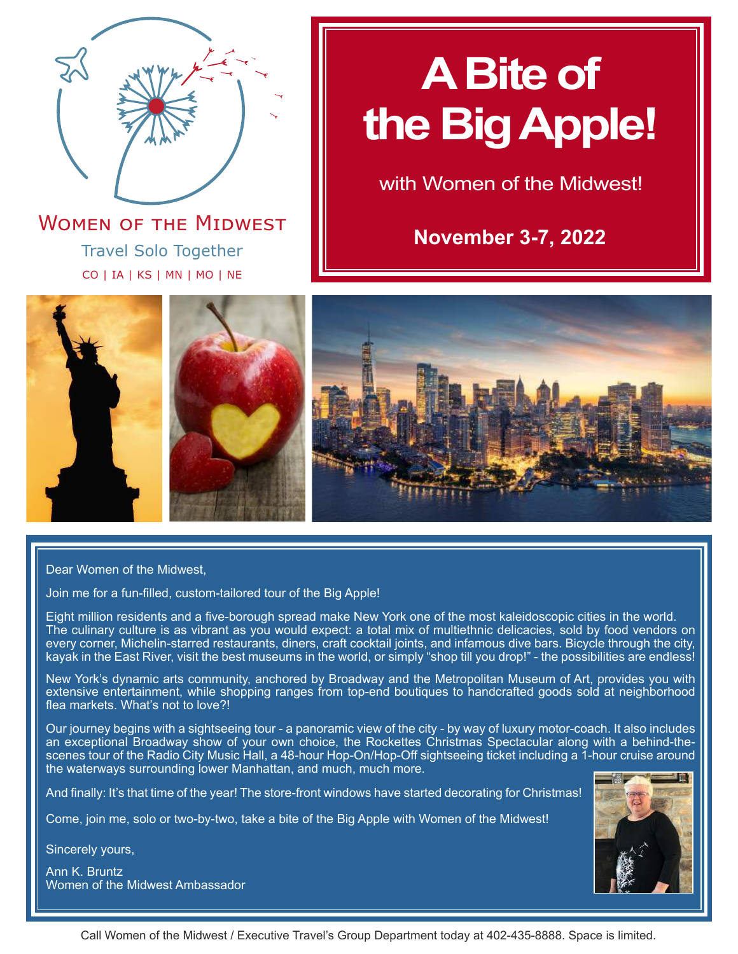

**November 3-7, 2022** Travel Solo Together CO | IA | KS | MN | MO | NE **WOMEN OF THE MIDWEST** 

# **A Bite of the Big Apple!**

with Women of the Midwest!



Dear Women of the Midwest,

Join me for a fun-filled, custom-tailored tour of the Big Apple!

Eight million residents and a five-borough spread make New York one of the most kaleidoscopic cities in the world. The culinary culture is as vibrant as you would expect: a total mix of multiethnic delicacies, sold by food vendors on every corner, Michelin-starred restaurants, diners, craft cocktail joints, and infamous dive bars. Bicycle through the city, kayak in the East River, visit the best museums in the world, or simply "shop till you drop!" - the possibilities are endless!

New York's dynamic arts community, anchored by Broadway and the Metropolitan Museum of Art, provides you with extensive entertainment, while shopping ranges from top-end boutiques to handcrafted goods sold at neighborhood flea markets. What's not to love?!

Our journey begins with a sightseeing tour - a panoramic view of the city - by way of luxury motor-coach. It also includes an exceptional Broadway show of your own choice, the Rockettes Christmas Spectacular along with a behind-thescenes tour of the Radio City Music Hall, a 48-hour Hop-On/Hop-Off sightseeing ticket including a 1-hour cruise around the waterways surrounding lower Manhattan, and much, much more.

And finally: It's that time of the year! The store-front windows have started decorating for Christmas!

Come, join me, solo or two-by-two, take a bite of the Big Apple with Women of the Midwest!

Sincerely yours,

Ann K. Bruntz Women of the Midwest Ambassador



Call Women of the Midwest / Executive Travel's Group Department today at 402-435-8888. Space is limited.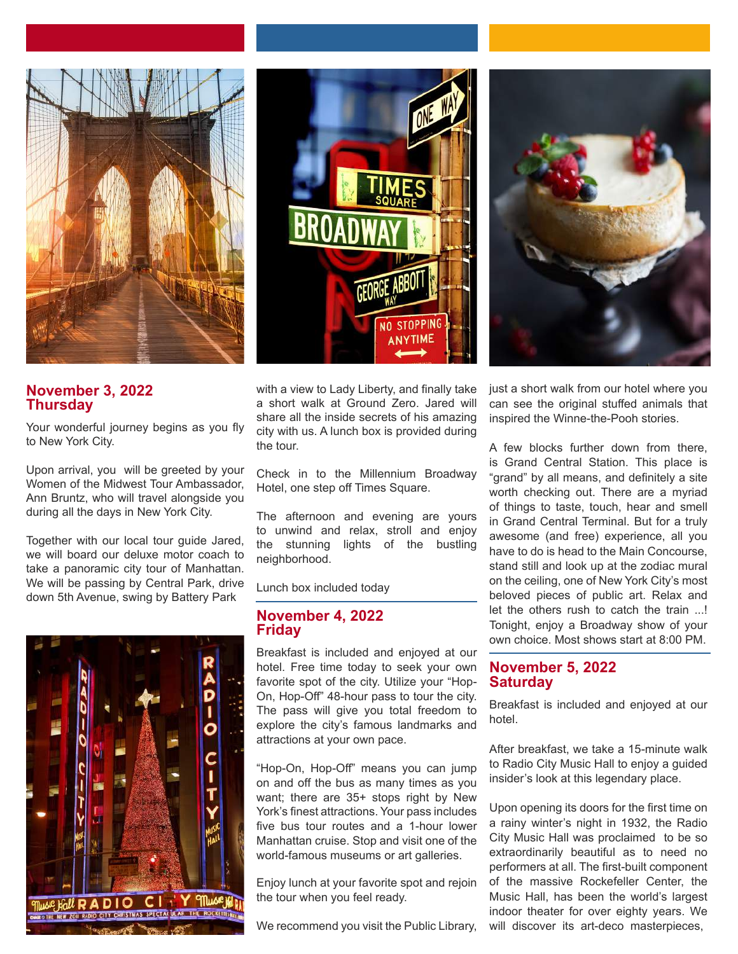





## **November 3, 2022 Thursday**

Your wonderful journey begins as you fly to New York City.

Upon arrival, you will be greeted by your Women of the Midwest Tour Ambassador, Ann Bruntz, who will travel alongside you during all the days in New York City.

Together with our local tour guide Jared, we will board our deluxe motor coach to take a panoramic city tour of Manhattan. We will be passing by Central Park, drive down 5th Avenue, swing by Battery Park



with a view to Lady Liberty, and finally take a short walk at Ground Zero. Jared will share all the inside secrets of his amazing city with us. A lunch box is provided during the tour.

Check in to the Millennium Broadway Hotel, one step off Times Square.

The afternoon and evening are yours to unwind and relax, stroll and enjoy the stunning lights of the bustling neighborhood.

Lunch box included today

## **November 4, 2022 Friday**

Breakfast is included and enjoyed at our hotel. Free time today to seek your own favorite spot of the city. Utilize your "Hop-On, Hop-Off" 48-hour pass to tour the city. The pass will give you total freedom to explore the city's famous landmarks and attractions at your own pace.

"Hop-On, Hop-Off" means you can jump on and off the bus as many times as you want; there are 35+ stops right by New York's finest attractions. Your pass includes five bus tour routes and a 1-hour lower Manhattan cruise. Stop and visit one of the world-famous museums or art galleries.

Enjoy lunch at your favorite spot and rejoin the tour when you feel ready.

We recommend you visit the Public Library,

just a short walk from our hotel where you can see the original stuffed animals that inspired the Winne-the-Pooh stories.

A few blocks further down from there, is Grand Central Station. This place is "grand" by all means, and definitely a site worth checking out. There are a myriad of things to taste, touch, hear and smell in Grand Central Terminal. But for a truly awesome (and free) experience, all you have to do is head to the Main Concourse, stand still and look up at the zodiac mural on the ceiling, one of New York City's most beloved pieces of public art. Relax and let the others rush to catch the train ...! Tonight, enjoy a Broadway show of your own choice. Most shows start at 8:00 PM.

## **November 5, 2022 Saturday**

Breakfast is included and enjoyed at our hotel.

After breakfast, we take a 15-minute walk to Radio City Music Hall to enjoy a guided insider's look at this legendary place.

Upon opening its doors for the first time on a rainy winter's night in 1932, the Radio City Music Hall was proclaimed to be so extraordinarily beautiful as to need no performers at all. The first-built component of the massive Rockefeller Center, the Music Hall, has been the world's largest indoor theater for over eighty years. We will discover its art-deco masterpieces,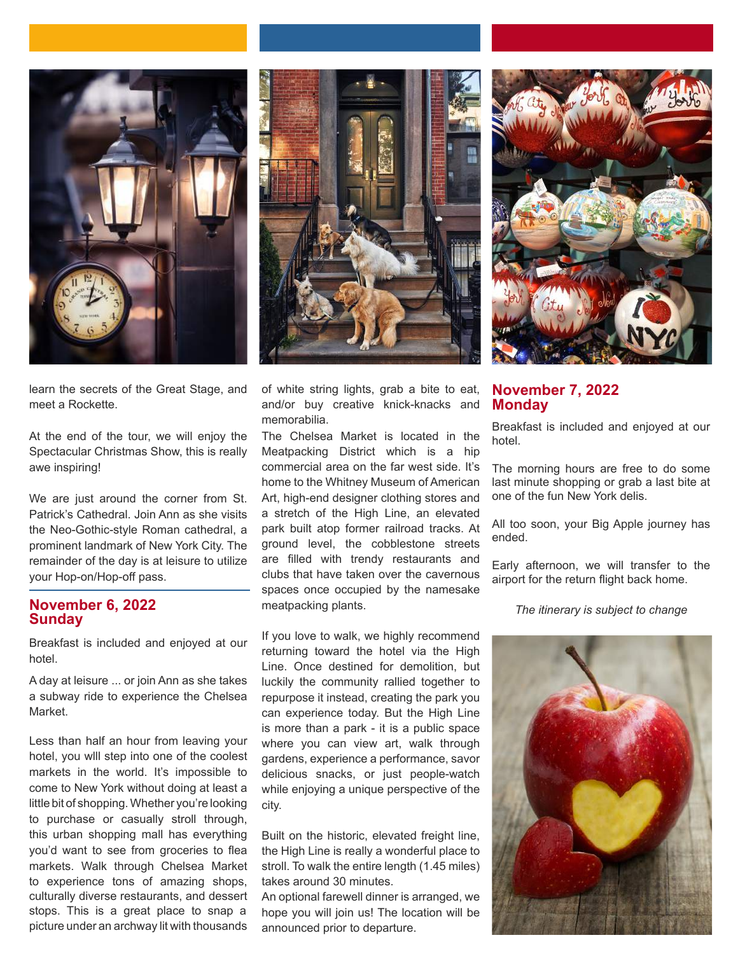





learn the secrets of the Great Stage, and meet a Rockette.

At the end of the tour, we will enjoy the Spectacular Christmas Show, this is really awe inspiring!

We are just around the corner from St. Patrick's Cathedral. Join Ann as she visits the Neo-Gothic-style Roman cathedral, a prominent landmark of New York City. The remainder of the day is at leisure to utilize your Hop-on/Hop-off pass.

## **November 6, 2022 Sunday**

Breakfast is included and enjoyed at our hotel.

A day at leisure ... or join Ann as she takes a subway ride to experience the Chelsea Market.

Less than half an hour from leaving your hotel, you wlll step into one of the coolest markets in the world. It's impossible to come to New York without doing at least a little bit of shopping. Whether you're looking to purchase or casually stroll through, this urban shopping mall has everything you'd want to see from groceries to flea markets. Walk through Chelsea Market to experience tons of amazing shops, culturally diverse restaurants, and dessert stops. This is a great place to snap a picture under an archway lit with thousands of white string lights, grab a bite to eat, and/or buy creative knick-knacks and memorabilia.

The Chelsea Market is located in the Meatpacking District which is a hip commercial area on the far west side. It's home to the Whitney Museum of American Art, high-end designer clothing stores and a stretch of the High Line, an elevated park built atop former railroad tracks. At ground level, the cobblestone streets are filled with trendy restaurants and clubs that have taken over the cavernous spaces once occupied by the namesake meatpacking plants.

If you love to walk, we highly recommend returning toward the hotel via the High Line. Once destined for demolition, but luckily the community rallied together to repurpose it instead, creating the park you can experience today. But the High Line is more than a park - it is a public space where you can view art, walk through gardens, experience a performance, savor delicious snacks, or just people-watch while enjoying a unique perspective of the city.

Built on the historic, elevated freight line, the High Line is really a wonderful place to stroll. To walk the entire length (1.45 miles) takes around 30 minutes.

An optional farewell dinner is arranged, we hope you will join us! The location will be announced prior to departure.

## **November 7, 2022 Monday**

Breakfast is included and enjoyed at our hotel.

The morning hours are free to do some last minute shopping or grab a last bite at one of the fun New York delis.

All too soon, your Big Apple journey has ended.

Early afternoon, we will transfer to the airport for the return flight back home.

*The itinerary is subject to change*

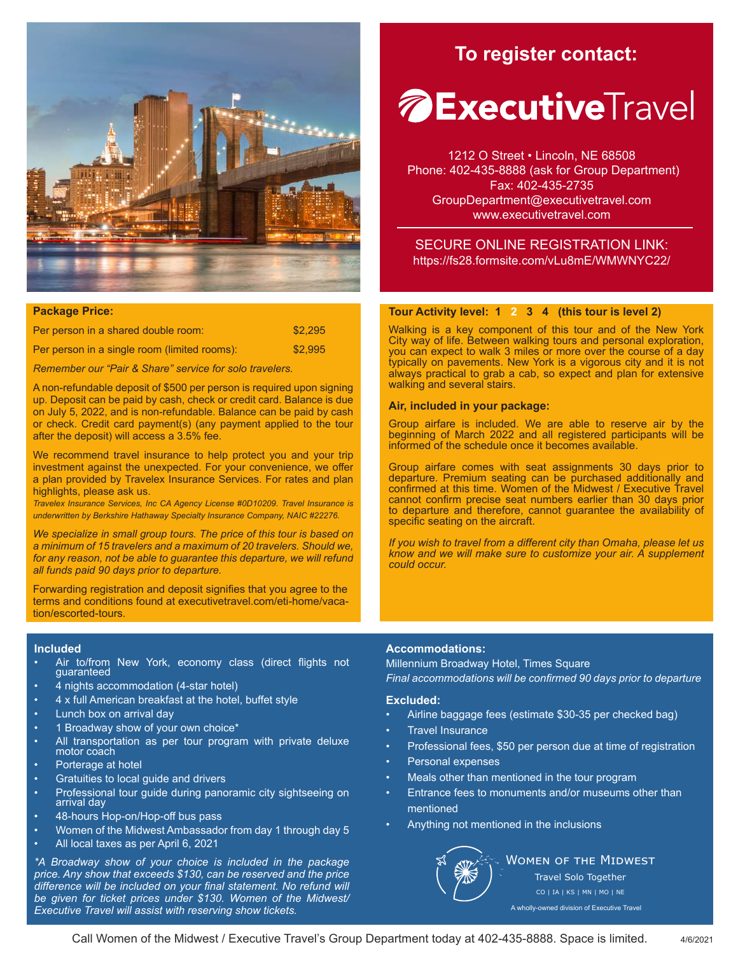

## **Package Price:**

| Per person in a shared double room:          | \$2.295 |
|----------------------------------------------|---------|
| Per person in a single room (limited rooms): | \$2,995 |

*Remember our "Pair & Share" service for solo travelers.*

A non-refundable deposit of \$500 per person is required upon signing up. Deposit can be paid by cash, check or credit card. Balance is due on July 5, 2022, and is non-refundable. Balance can be paid by cash or check. Credit card payment(s) (any payment applied to the tour after the deposit) will access a 3.5% fee.

We recommend travel insurance to help protect you and your trip investment against the unexpected. For your convenience, we offer a plan provided by Travelex Insurance Services. For rates and plan highlights, please ask us.

*Travelex Insurance Services, Inc CA Agency License #0D10209. Travel Insurance is underwritten by Berkshire Hathaway Specialty Insurance Company, NAIC #22276.*

*We specialize in small group tours. The price of this tour is based on a minimum of 15 travelers and a maximum of 20 travelers. Should we, for any reason, not be able to guarantee this departure, we will refund all funds paid 90 days prior to departure.*

Forwarding registration and deposit signifies that you agree to the terms and conditions found at executivetravel.com/eti-home/vacation/escorted-tours.

### **Included**

- Air to/from New York, economy class (direct flights not guaranteed
- 4 nights accommodation (4-star hotel)
- 4 x full American breakfast at the hotel, buffet style
- Lunch box on arrival day
- 1 Broadway show of your own choice\*
- All transportation as per tour program with private deluxe motor coach
- Porterage at hotel
- Gratuities to local guide and drivers
- Professional tour guide during panoramic city sightseeing on arrival day
- 48-hours Hop-on/Hop-off bus pass
- Women of the Midwest Ambassador from day 1 through day 5
- All local taxes as per April 6, 2021

*\*A Broadway show of your choice is included in the package price. Any show that exceeds \$130, can be reserved and the price difference will be included on your final statement. No refund will be given for ticket prices under \$130. Women of the Midwest/ Executive Travel will assist with reserving show tickets.*

## **To register contact:**

## *A* **Executive** Travel

1212 O Street • Lincoln, NE 68508 Phone: 402-435-8888 (ask for Group Department) Fax: 402-435-2735 GroupDepartment@executivetravel.com www.executivetravel.com

SECURE ONLINE REGISTRATION LINK: https://fs28.formsite.com/vLu8mE/WMWNYC22/

## **Tour Activity level: 1 2 3 4 (this tour is level 2)**

Walking is a key component of this tour and of the New York City way of life. Between walking tours and personal exploration, you can expect to walk 3 miles or more over the course of a day typically on pavements. New York is a vigorous city and it is not always practical to grab a cab, so expect and plan for extensive walking and several stairs.

#### **Air, included in your package:**

Group airfare is included. We are able to reserve air by the beginning of March 2022 and all registered participants will be informed of the schedule once it becomes available.

Group airfare comes with seat assignments 30 days prior to departure. Premium seating can be purchased additionally and confirmed at this time. Women of the Midwest / Executive Travel cannot confirm precise seat numbers earlier than 30 days prior to departure and therefore, cannot guarantee the availability of specific seating on the aircraft.

*If you wish to travel from a different city than Omaha, please let us know and we will make sure to customize your air. A supplement could occur.*

## **Accommodations:**

Millennium Broadway Hotel, Times Square *Final accommodations will be confirmed 90 days prior to departure*

#### **Excluded:**

- Airline baggage fees (estimate \$30-35 per checked bag)
- **Travel Insurance**
- Professional fees, \$50 per person due at time of registration
- Personal expenses
- Meals other than mentioned in the tour program
- Entrance fees to monuments and/or museums other than mentioned
- Anything not mentioned in the inclusions



**WOMEN OF THE MIDWEST** 

Travel Solo Together CO | IA | KS | MN | MO | NE